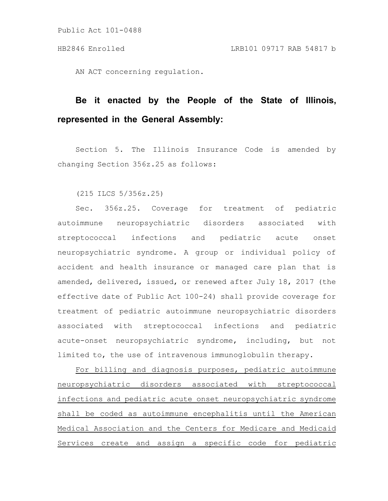Public Act 101-0488

AN ACT concerning regulation.

## **Be it enacted by the People of the State of Illinois, represented in the General Assembly:**

Section 5. The Illinois Insurance Code is amended by changing Section 356z.25 as follows:

(215 ILCS 5/356z.25)

Sec. 356z.25. Coverage for treatment of pediatric autoimmune neuropsychiatric disorders associated with streptococcal infections and pediatric acute onset neuropsychiatric syndrome. A group or individual policy of accident and health insurance or managed care plan that is amended, delivered, issued, or renewed after July 18, 2017 (the effective date of Public Act 100-24) shall provide coverage for treatment of pediatric autoimmune neuropsychiatric disorders associated with streptococcal infections and pediatric acute-onset neuropsychiatric syndrome, including, but not limited to, the use of intravenous immunoglobulin therapy.

For billing and diagnosis purposes, pediatric autoimmune neuropsychiatric disorders associated with streptococcal infections and pediatric acute onset neuropsychiatric syndrome shall be coded as autoimmune encephalitis until the American Medical Association and the Centers for Medicare and Medicaid Services create and assign a specific code for pediatric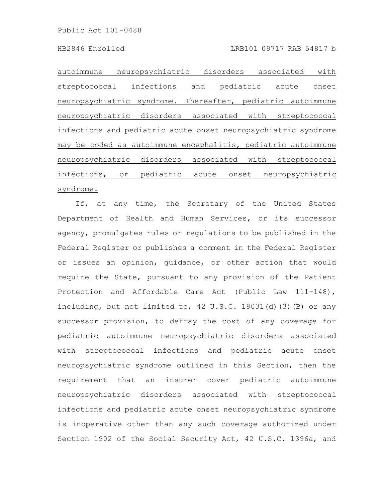autoimmune neuropsychiatric disorders associated with streptococcal infections and pediatric acute onset neuropsychiatric syndrome. Thereafter, pediatric autoimmune neuropsychiatric disorders associated with streptococcal infections and pediatric acute onset neuropsychiatric syndrome may be coded as autoimmune encephalitis, pediatric autoimmune neuropsychiatric disorders associated with streptococcal infections, or pediatric acute onset neuropsychiatric syndrome.

If, at any time, the Secretary of the United States Department of Health and Human Services, or its successor agency, promulgates rules or regulations to be published in the Federal Register or publishes a comment in the Federal Register or issues an opinion, guidance, or other action that would require the State, pursuant to any provision of the Patient Protection and Affordable Care Act (Public Law 111-148), including, but not limited to, 42 U.S.C. 18031(d)(3)(B) or any successor provision, to defray the cost of any coverage for pediatric autoimmune neuropsychiatric disorders associated with streptococcal infections and pediatric acute onset neuropsychiatric syndrome outlined in this Section, then the requirement that an insurer cover pediatric autoimmune neuropsychiatric disorders associated with streptococcal infections and pediatric acute onset neuropsychiatric syndrome is inoperative other than any such coverage authorized under Section 1902 of the Social Security Act, 42 U.S.C. 1396a, and